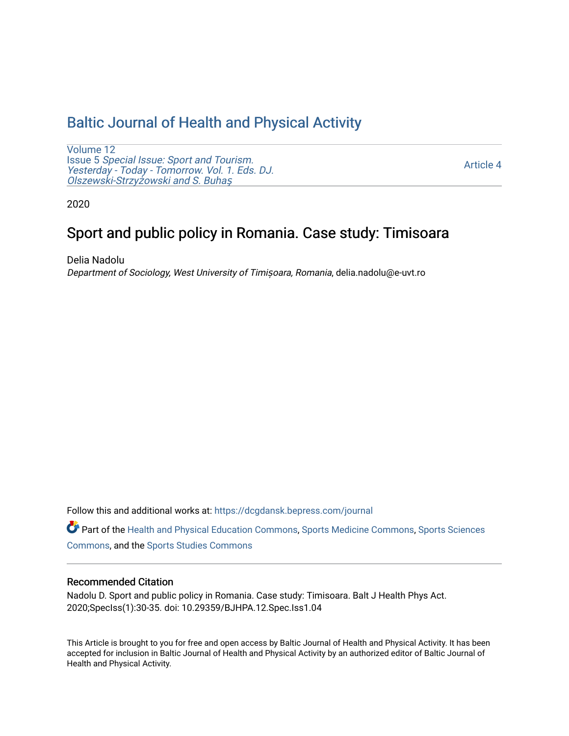## [Baltic Journal of Health and Physical Activity](https://dcgdansk.bepress.com/journal)

[Volume 12](https://dcgdansk.bepress.com/journal/vol12) Issue 5 [Special Issue: Sport and Tourism.](https://dcgdansk.bepress.com/journal/vol12/iss5)  [Yesterday - Today - Tomorrow. Vol. 1. Eds. DJ.](https://dcgdansk.bepress.com/journal/vol12/iss5)  [Olszewski-Strzy](https://dcgdansk.bepress.com/journal/vol12/iss5)żowski and S. Buhaş

[Article 4](https://dcgdansk.bepress.com/journal/vol12/iss5/4) 

2020

# Sport and public policy in Romania. Case study: Timisoara

Delia Nadolu

Department of Sociology, West University of Timișoara, Romania, delia.nadolu@e-uvt.ro

Follow this and additional works at: [https://dcgdansk.bepress.com/journal](https://dcgdansk.bepress.com/journal?utm_source=dcgdansk.bepress.com%2Fjournal%2Fvol12%2Fiss5%2F4&utm_medium=PDF&utm_campaign=PDFCoverPages)

Part of the [Health and Physical Education Commons](http://network.bepress.com/hgg/discipline/1327?utm_source=dcgdansk.bepress.com%2Fjournal%2Fvol12%2Fiss5%2F4&utm_medium=PDF&utm_campaign=PDFCoverPages), [Sports Medicine Commons,](http://network.bepress.com/hgg/discipline/1331?utm_source=dcgdansk.bepress.com%2Fjournal%2Fvol12%2Fiss5%2F4&utm_medium=PDF&utm_campaign=PDFCoverPages) [Sports Sciences](http://network.bepress.com/hgg/discipline/759?utm_source=dcgdansk.bepress.com%2Fjournal%2Fvol12%2Fiss5%2F4&utm_medium=PDF&utm_campaign=PDFCoverPages) [Commons](http://network.bepress.com/hgg/discipline/759?utm_source=dcgdansk.bepress.com%2Fjournal%2Fvol12%2Fiss5%2F4&utm_medium=PDF&utm_campaign=PDFCoverPages), and the [Sports Studies Commons](http://network.bepress.com/hgg/discipline/1198?utm_source=dcgdansk.bepress.com%2Fjournal%2Fvol12%2Fiss5%2F4&utm_medium=PDF&utm_campaign=PDFCoverPages) 

#### Recommended Citation

Nadolu D. Sport and public policy in Romania. Case study: Timisoara. Balt J Health Phys Act. 2020;SpecIss(1):30-35. doi: 10.29359/BJHPA.12.Spec.Iss1.04

This Article is brought to you for free and open access by Baltic Journal of Health and Physical Activity. It has been accepted for inclusion in Baltic Journal of Health and Physical Activity by an authorized editor of Baltic Journal of Health and Physical Activity.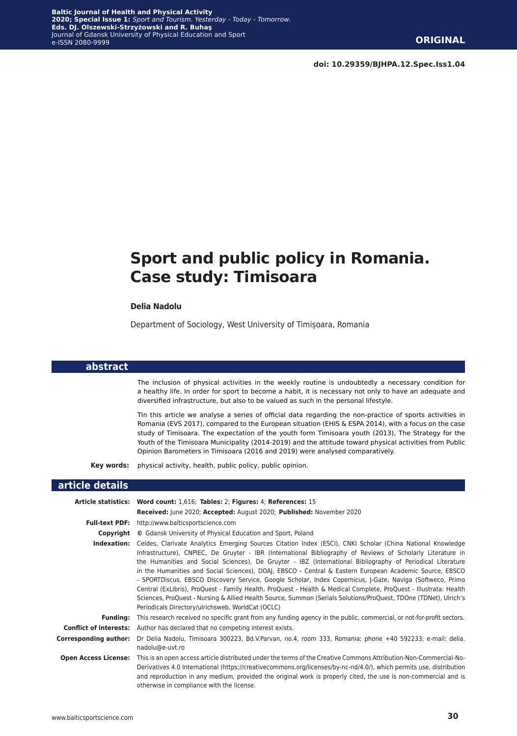**doi: 10.29359/BJHPA.12.Spec.Iss1.04**

# **Sport and public policy in Romania. Case study: Timisoara**

#### **Delia Nadolu**

Department of Sociology, West University of Timișoara, Romania

#### **abstract**

The inclusion of physical activities in the weekly routine is undoubtedly a necessary condition for a healthy life. In order for sport to become a habit, it is necessary not only to have an adequate and diversified infrastructure, but also to be valued as such in the personal lifestyle.

TIn this article we analyse a series of official data regarding the non-practice of sports activities in Romania (EVS 2017), compared to the European situation (EHIS & ESPA 2014), with a focus on the case study of Timisoara. The expectation of the youth form Timisoara youth (2013), The Strategy for the Youth of the Timisoara Municipality (2014-2019) and the attitude toward physical activities from Public Opinion Barometers in Timisoara (2016 and 2019) were analysed comparatively.

**Key words:** physical activity, health, public policy, public opinion.

#### **article details**

|                             | Article statistics: Word count: 1,616; Tables: 2; Figures: 4; References: 15                                                                                                                                                                                                                                                                                                                                                                                                                                                                                                                                                                                                                                                                                                                                                                                  |
|-----------------------------|---------------------------------------------------------------------------------------------------------------------------------------------------------------------------------------------------------------------------------------------------------------------------------------------------------------------------------------------------------------------------------------------------------------------------------------------------------------------------------------------------------------------------------------------------------------------------------------------------------------------------------------------------------------------------------------------------------------------------------------------------------------------------------------------------------------------------------------------------------------|
|                             | Received: June 2020; Accepted: August 2020; Published: November 2020                                                                                                                                                                                                                                                                                                                                                                                                                                                                                                                                                                                                                                                                                                                                                                                          |
| <b>Full-text PDF:</b>       | http://www.balticsportscience.com                                                                                                                                                                                                                                                                                                                                                                                                                                                                                                                                                                                                                                                                                                                                                                                                                             |
|                             | <b>Copyright</b> © Gdansk University of Physical Education and Sport, Poland                                                                                                                                                                                                                                                                                                                                                                                                                                                                                                                                                                                                                                                                                                                                                                                  |
| Indexation:                 | Celdes, Clarivate Analytics Emerging Sources Citation Index (ESCI), CNKI Scholar (China National Knowledge<br>Infrastructure), CNPIEC, De Gruyter - IBR (International Bibliography of Reviews of Scholarly Literature in<br>the Humanities and Social Sciences), De Gruyter - IBZ (International Bibliography of Periodical Literature<br>in the Humanities and Social Sciences), DOAJ, EBSCO - Central & Eastern European Academic Source, EBSCO<br>- SPORTDiscus, EBSCO Discovery Service, Google Scholar, Index Copernicus, J-Gate, Naviga (Softweco, Primo<br>Central (ExLibris), ProQuest - Family Health, ProQuest - Health & Medical Complete, ProQuest - Illustrata: Health<br>Sciences, ProQuest - Nursing & Allied Health Source, Summon (Serials Solutions/ProQuest, TDOne (TDNet), Ulrich's<br>Periodicals Directory/ulrichsweb, WorldCat (OCLC) |
| <b>Funding:</b>             | This research received no specific grant from any funding agency in the public, commercial, or not-for-profit sectors.                                                                                                                                                                                                                                                                                                                                                                                                                                                                                                                                                                                                                                                                                                                                        |
|                             | <b>Conflict of interests:</b> Author has declared that no competing interest exists.                                                                                                                                                                                                                                                                                                                                                                                                                                                                                                                                                                                                                                                                                                                                                                          |
| Corresponding author:       | Dr Delia Nadolu, Timisoara 300223, Bd.V.Parvan, no.4, room 333, Romania; phone +40 592233; e-mail: delia.<br>nadolu@e-uvt.ro                                                                                                                                                                                                                                                                                                                                                                                                                                                                                                                                                                                                                                                                                                                                  |
| <b>Open Access License:</b> | This is an open access article distributed under the terms of the Creative Commons Attribution-Non-Commercial-No-<br>Derivatives 4.0 International (https://creativecommons.org/licenses/by-nc-nd/4.0/), which permits use, distribution<br>and reproduction in any medium, provided the original work is properly cited, the use is non-commercial and is<br>otherwise in compliance with the license.                                                                                                                                                                                                                                                                                                                                                                                                                                                       |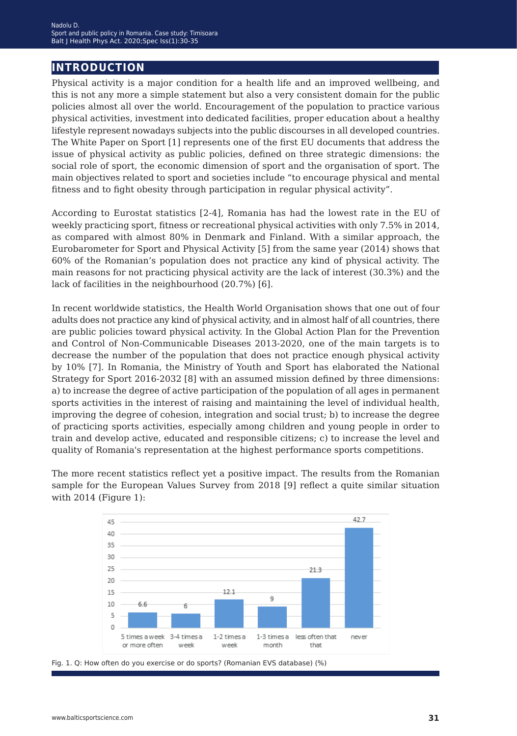## **introduction**

Physical activity is a major condition for a health life and an improved wellbeing, and this is not any more a simple statement but also a very consistent domain for the public policies almost all over the world. Encouragement of the population to practice various physical activities, investment into dedicated facilities, proper education about a healthy lifestyle represent nowadays subjects into the public discourses in all developed countries. The White Paper on Sport [1] represents one of the first EU documents that address the issue of physical activity as public policies, defined on three strategic dimensions: the social role of sport, the economic dimension of sport and the organisation of sport. The main objectives related to sport and societies include "to encourage physical and mental fitness and to fight obesity through participation in regular physical activity".

According to Eurostat statistics [2-4], Romania has had the lowest rate in the EU of weekly practicing sport, fitness or recreational physical activities with only 7.5% in 2014, as compared with almost 80% in Denmark and Finland. With a similar approach, the Eurobarometer for Sport and Physical Activity [5] from the same year (2014) shows that 60% of the Romanian's population does not practice any kind of physical activity. The main reasons for not practicing physical activity are the lack of interest (30.3%) and the lack of facilities in the neighbourhood (20.7%) [6].

In recent worldwide statistics, the Health World Organisation shows that one out of four adults does not practice any kind of physical activity, and in almost half of all countries, there are public policies toward physical activity. In the Global Action Plan for the Prevention and Control of Non-Communicable Diseases 2013-2020, one of the main targets is to decrease the number of the population that does not practice enough physical activity by 10% [7]. In Romania, the Ministry of Youth and Sport has elaborated the National Strategy for Sport 2016-2032 [8] with an assumed mission defined by three dimensions: a) to increase the degree of active participation of the population of all ages in permanent sports activities in the interest of raising and maintaining the level of individual health, improving the degree of cohesion, integration and social trust; b) to increase the degree of practicing sports activities, especially among children and young people in order to train and develop active, educated and responsible citizens; c) to increase the level and quality of Romania's representation at the highest performance sports competitions.

The more recent statistics reflect yet a positive impact. The results from the Romanian sample for the European Values Survey from 2018 [9] reflect a quite similar situation with 2014 (Figure 1):



Fig. 1. Q: How often do you exercise or do sports? (Romanian EVS database) (%)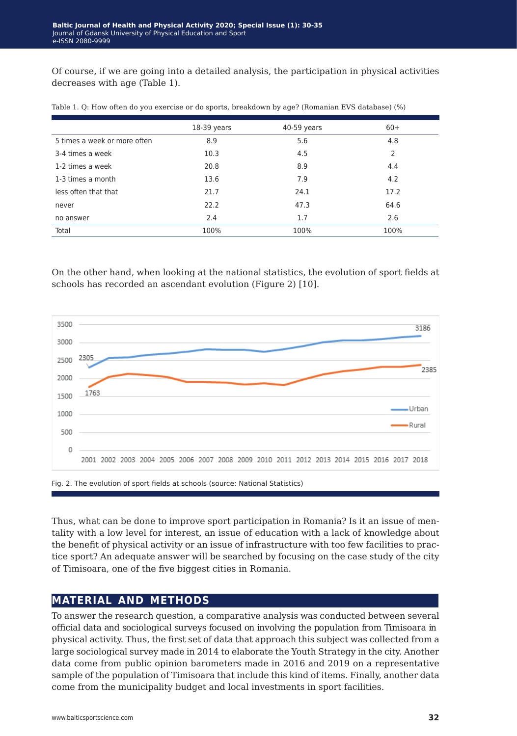Of course, if we are going into a detailed analysis, the participation in physical activities decreases with age (Table 1).

|                              | $18-39$ years | 40-59 years | $60+$ |
|------------------------------|---------------|-------------|-------|
| 5 times a week or more often | 8.9           | 5.6         | 4.8   |
| 3-4 times a week             | 10.3          | 4.5         | 2     |
| 1-2 times a week             | 20.8          | 8.9         | 4.4   |
| 1-3 times a month            | 13.6          | 7.9         | 4.2   |
| less often that that         | 21.7          | 24.1        | 17.2  |
| never                        | 22.2          | 47.3        | 64.6  |
| no answer                    | 2.4           | 1.7         | 2.6   |
| Total                        | 100%          | 100%        | 100%  |

Table 1. Q: How often do you exercise or do sports, breakdown by age? (Romanian EVS database) (%)

On the other hand, when looking at the national statistics, the evolution of sport fields at schools has recorded an ascendant evolution (Figure 2) [10].



Fig. 2. The evolution of sport fields at schools (source: National Statistics)

Thus, what can be done to improve sport participation in Romania? Is it an issue of mentality with a low level for interest, an issue of education with a lack of knowledge about the benefit of physical activity or an issue of infrastructure with too few facilities to practice sport? An adequate answer will be searched by focusing on the case study of the city of Timisoara, one of the five biggest cities in Romania.

### **material and methods**

To answer the research question, a comparative analysis was conducted between several official data and sociological surveys focused on involving the population from Timisoara in physical activity. Thus, the first set of data that approach this subject was collected from a large sociological survey made in 2014 to elaborate the Youth Strategy in the city. Another data come from public opinion barometers made in 2016 and 2019 on a representative sample of the population of Timisoara that include this kind of items. Finally, another data come from the municipality budget and local investments in sport facilities.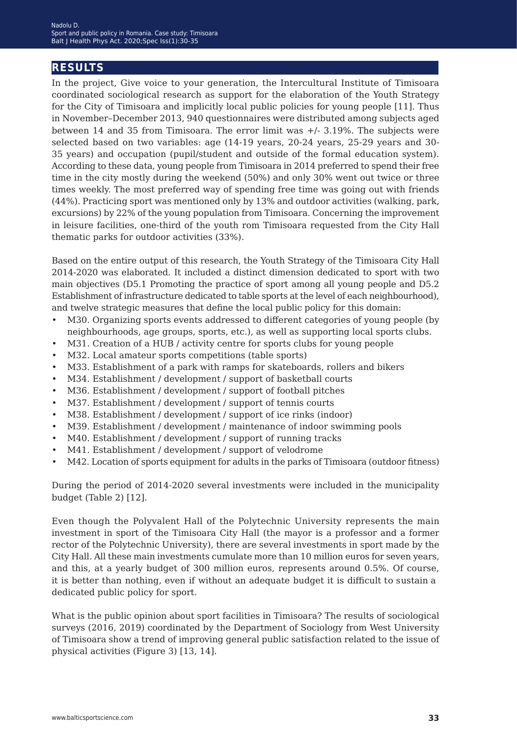## **results**

In the project, Give voice to your generation, the Intercultural Institute of Timisoara coordinated sociological research as support for the elaboration of the Youth Strategy for the City of Timisoara and implicitly local public policies for young people [11]. Thus in November–December 2013, 940 questionnaires were distributed among subjects aged between 14 and 35 from Timisoara. The error limit was  $+/-$  3.19%. The subjects were selected based on two variables: age (14-19 years, 20-24 years, 25-29 years and 30- 35 years) and occupation (pupil/student and outside of the formal education system). According to these data, young people from Timisoara in 2014 preferred to spend their free time in the city mostly during the weekend (50%) and only 30% went out twice or three times weekly. The most preferred way of spending free time was going out with friends (44%). Practicing sport was mentioned only by 13% and outdoor activities (walking, park, excursions) by 22% of the young population from Timisoara. Concerning the improvement in leisure facilities, one-third of the youth rom Timisoara requested from the City Hall thematic parks for outdoor activities (33%).

Based on the entire output of this research, the Youth Strategy of the Timisoara City Hall 2014-2020 was elaborated. It included a distinct dimension dedicated to sport with two main objectives (D5.1 Promoting the practice of sport among all young people and D5.2 Establishment of infrastructure dedicated to table sports at the level of each neighbourhood), and twelve strategic measures that define the local public policy for this domain:

- M30. Organizing sports events addressed to different categories of young people (by neighbourhoods, age groups, sports, etc.), as well as supporting local sports clubs.
- M31. Creation of a HUB / activity centre for sports clubs for young people
- M32. Local amateur sports competitions (table sports)
- M33. Establishment of a park with ramps for skateboards, rollers and bikers
- M34. Establishment / development / support of basketball courts
- M36. Establishment / development / support of football pitches
- M37. Establishment / development / support of tennis courts
- M38. Establishment / development / support of ice rinks (indoor)
- M39. Establishment / development / maintenance of indoor swimming pools
- M40. Establishment / development / support of running tracks
- M41. Establishment / development / support of velodrome
- M42. Location of sports equipment for adults in the parks of Timisoara (outdoor fitness)

During the period of 2014-2020 several investments were included in the municipality budget (Table 2) [12].

Even though the Polyvalent Hall of the Polytechnic University represents the main investment in sport of the Timisoara City Hall (the mayor is a professor and a former rector of the Polytechnic University), there are several investments in sport made by the City Hall. All these main investments cumulate more than 10 million euros for seven years, and this, at a yearly budget of 300 million euros, represents around 0.5%. Of course, it is better than nothing, even if without an adequate budget it is difficult to sustain a dedicated public policy for sport.

What is the public opinion about sport facilities in Timisoara? The results of sociological surveys (2016, 2019) coordinated by the Department of Sociology from West University of Timisoara show a trend of improving general public satisfaction related to the issue of physical activities (Figure 3) [13, 14].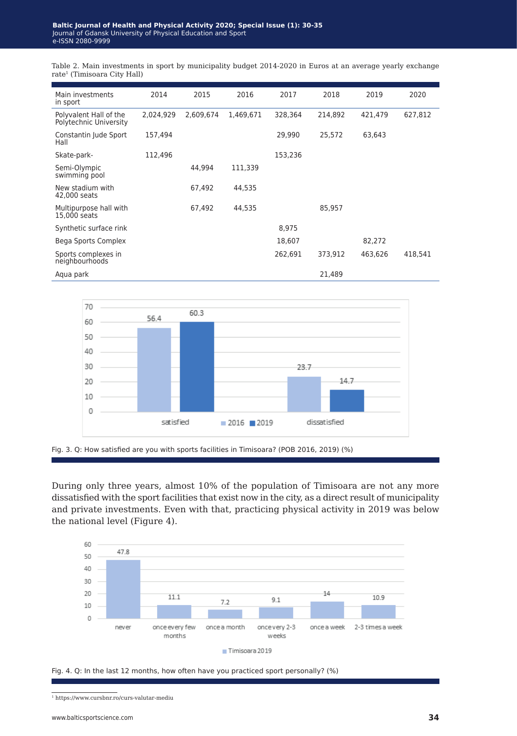Table 2. Main investments in sport by municipality budget 2014-2020 in Euros at an average yearly exchange rate1 (Timisoara City Hall)

| Main investments<br>in sport                     | 2014      | 2015      | 2016      | 2017    | 2018    | 2019    | 2020    |
|--------------------------------------------------|-----------|-----------|-----------|---------|---------|---------|---------|
| Polyvalent Hall of the<br>Polytechnic University | 2,024,929 | 2,609,674 | 1,469,671 | 328,364 | 214,892 | 421,479 | 627,812 |
| Constantin Jude Sport<br>Hall                    | 157.494   |           |           | 29,990  | 25.572  | 63,643  |         |
| Skate-park-                                      | 112,496   |           |           | 153,236 |         |         |         |
| Semi-Olympic<br>swimming pool                    |           | 44,994    | 111,339   |         |         |         |         |
| New stadium with<br>42,000 seats                 |           | 67.492    | 44.535    |         |         |         |         |
| Multipurpose hall with<br>15,000 seats           |           | 67.492    | 44.535    |         | 85,957  |         |         |
| Synthetic surface rink                           |           |           |           | 8,975   |         |         |         |
| Bega Sports Complex                              |           |           |           | 18,607  |         | 82,272  |         |
| Sports complexes in<br>neighbourhoods            |           |           |           | 262,691 | 373,912 | 463,626 | 418,541 |
| Agua park                                        |           |           |           |         | 21,489  |         |         |



Fig. 3. Q: How satisfied are you with sports facilities in Timisoara? (POB 2016, 2019) (%)

During only three years, almost 10% of the population of Timisoara are not any more dissatisfied with the sport facilities that exist now in the city, as a direct result of municipality and private investments. Even with that, practicing physical activity in 2019 was below the national level (Figure 4).



Fig. 4. Q: In the last 12 months, how often have you practiced sport personally? (%)

<sup>1</sup> https://www.cursbnr.ro/curs-valutar-mediu